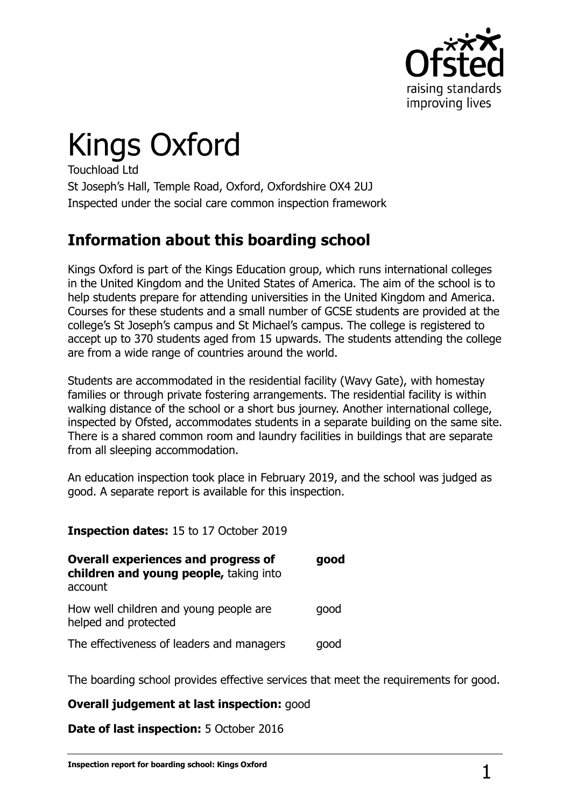

# Kings Oxford

Touchload Ltd St Joseph's Hall, Temple Road, Oxford, Oxfordshire OX4 2UJ Inspected under the social care common inspection framework

## **Information about this boarding school**

Kings Oxford is part of the Kings Education group, which runs international colleges in the United Kingdom and the United States of America. The aim of the school is to help students prepare for attending universities in the United Kingdom and America. Courses for these students and a small number of GCSE students are provided at the college's St Joseph's campus and St Michael's campus. The college is registered to accept up to 370 students aged from 15 upwards. The students attending the college are from a wide range of countries around the world.

Students are accommodated in the residential facility (Wavy Gate), with homestay families or through private fostering arrangements. The residential facility is within walking distance of the school or a short bus journey. Another international college, inspected by Ofsted, accommodates students in a separate building on the same site. There is a shared common room and laundry facilities in buildings that are separate from all sleeping accommodation.

An education inspection took place in February 2019, and the school was judged as good. A separate report is available for this inspection.

#### **Inspection dates:** 15 to 17 October 2019

| <b>Overall experiences and progress of</b><br>children and young people, taking into<br>account | good |
|-------------------------------------------------------------------------------------------------|------|
| How well children and young people are<br>helped and protected                                  | good |
| The effectiveness of leaders and managers                                                       | good |

The boarding school provides effective services that meet the requirements for good.

#### **Overall judgement at last inspection:** good

**Date of last inspection:** 5 October 2016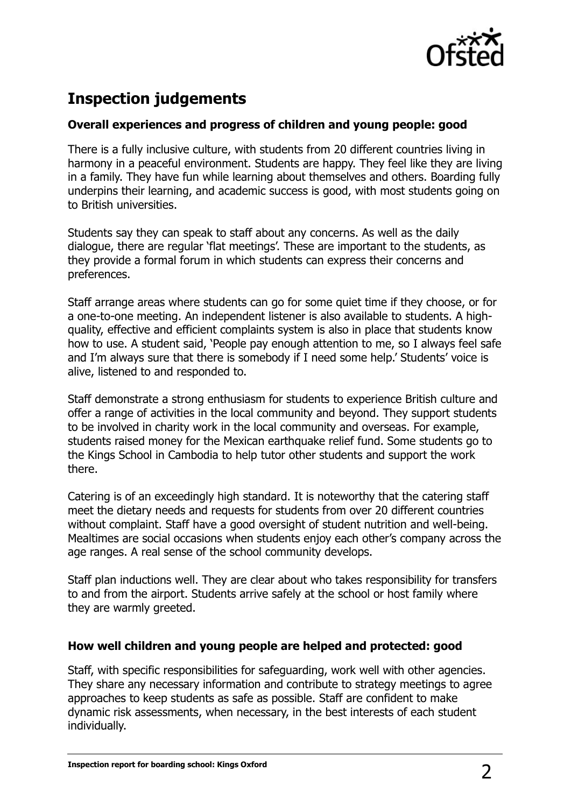

# **Inspection judgements**

#### **Overall experiences and progress of children and young people: good**

There is a fully inclusive culture, with students from 20 different countries living in harmony in a peaceful environment. Students are happy. They feel like they are living in a family. They have fun while learning about themselves and others. Boarding fully underpins their learning, and academic success is good, with most students going on to British universities.

Students say they can speak to staff about any concerns. As well as the daily dialogue, there are regular 'flat meetings'. These are important to the students, as they provide a formal forum in which students can express their concerns and preferences.

Staff arrange areas where students can go for some quiet time if they choose, or for a one-to-one meeting. An independent listener is also available to students. A highquality, effective and efficient complaints system is also in place that students know how to use. A student said, 'People pay enough attention to me, so I always feel safe and I'm always sure that there is somebody if I need some help.' Students' voice is alive, listened to and responded to.

Staff demonstrate a strong enthusiasm for students to experience British culture and offer a range of activities in the local community and beyond. They support students to be involved in charity work in the local community and overseas. For example, students raised money for the Mexican earthquake relief fund. Some students go to the Kings School in Cambodia to help tutor other students and support the work there.

Catering is of an exceedingly high standard. It is noteworthy that the catering staff meet the dietary needs and requests for students from over 20 different countries without complaint. Staff have a good oversight of student nutrition and well-being. Mealtimes are social occasions when students enjoy each other's company across the age ranges. A real sense of the school community develops.

Staff plan inductions well. They are clear about who takes responsibility for transfers to and from the airport. Students arrive safely at the school or host family where they are warmly greeted.

#### **How well children and young people are helped and protected: good**

Staff, with specific responsibilities for safeguarding, work well with other agencies. They share any necessary information and contribute to strategy meetings to agree approaches to keep students as safe as possible. Staff are confident to make dynamic risk assessments, when necessary, in the best interests of each student individually.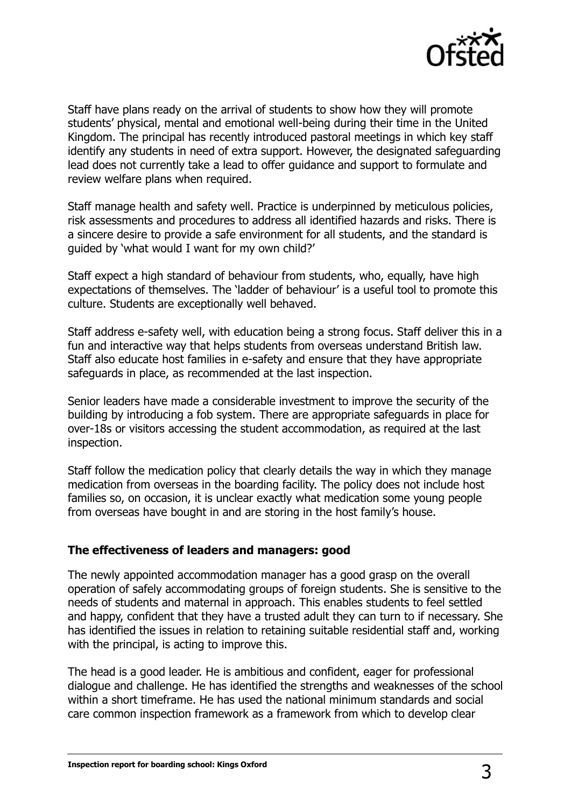

Staff have plans ready on the arrival of students to show how they will promote students' physical, mental and emotional well-being during their time in the United Kingdom. The principal has recently introduced pastoral meetings in which key staff identify any students in need of extra support. However, the designated safeguarding lead does not currently take a lead to offer guidance and support to formulate and review welfare plans when required.

Staff manage health and safety well. Practice is underpinned by meticulous policies, risk assessments and procedures to address all identified hazards and risks. There is a sincere desire to provide a safe environment for all students, and the standard is guided by 'what would I want for my own child?'

Staff expect a high standard of behaviour from students, who, equally, have high expectations of themselves. The 'ladder of behaviour' is a useful tool to promote this culture. Students are exceptionally well behaved.

Staff address e-safety well, with education being a strong focus. Staff deliver this in a fun and interactive way that helps students from overseas understand British law. Staff also educate host families in e-safety and ensure that they have appropriate safeguards in place, as recommended at the last inspection.

Senior leaders have made a considerable investment to improve the security of the building by introducing a fob system. There are appropriate safeguards in place for over-18s or visitors accessing the student accommodation, as required at the last inspection.

Staff follow the medication policy that clearly details the way in which they manage medication from overseas in the boarding facility. The policy does not include host families so, on occasion, it is unclear exactly what medication some young people from overseas have bought in and are storing in the host family's house.

#### **The effectiveness of leaders and managers: good**

The newly appointed accommodation manager has a good grasp on the overall operation of safely accommodating groups of foreign students. She is sensitive to the needs of students and maternal in approach. This enables students to feel settled and happy, confident that they have a trusted adult they can turn to if necessary. She has identified the issues in relation to retaining suitable residential staff and, working with the principal, is acting to improve this.

The head is a good leader. He is ambitious and confident, eager for professional dialogue and challenge. He has identified the strengths and weaknesses of the school within a short timeframe. He has used the national minimum standards and social care common inspection framework as a framework from which to develop clear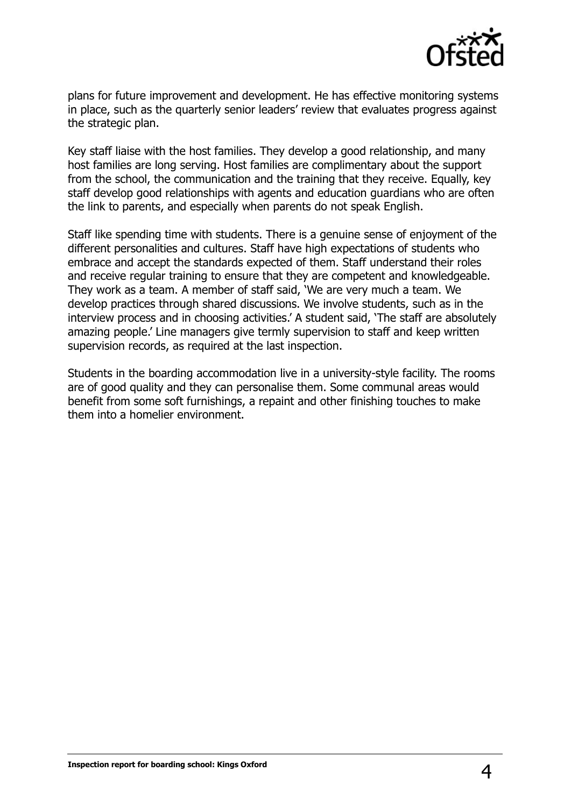

plans for future improvement and development. He has effective monitoring systems in place, such as the quarterly senior leaders' review that evaluates progress against the strategic plan.

Key staff liaise with the host families. They develop a good relationship, and many host families are long serving. Host families are complimentary about the support from the school, the communication and the training that they receive. Equally, key staff develop good relationships with agents and education guardians who are often the link to parents, and especially when parents do not speak English.

Staff like spending time with students. There is a genuine sense of enjoyment of the different personalities and cultures. Staff have high expectations of students who embrace and accept the standards expected of them. Staff understand their roles and receive regular training to ensure that they are competent and knowledgeable. They work as a team. A member of staff said, 'We are very much a team. We develop practices through shared discussions. We involve students, such as in the interview process and in choosing activities.' A student said, 'The staff are absolutely amazing people.' Line managers give termly supervision to staff and keep written supervision records, as required at the last inspection.

Students in the boarding accommodation live in a university-style facility. The rooms are of good quality and they can personalise them. Some communal areas would benefit from some soft furnishings, a repaint and other finishing touches to make them into a homelier environment.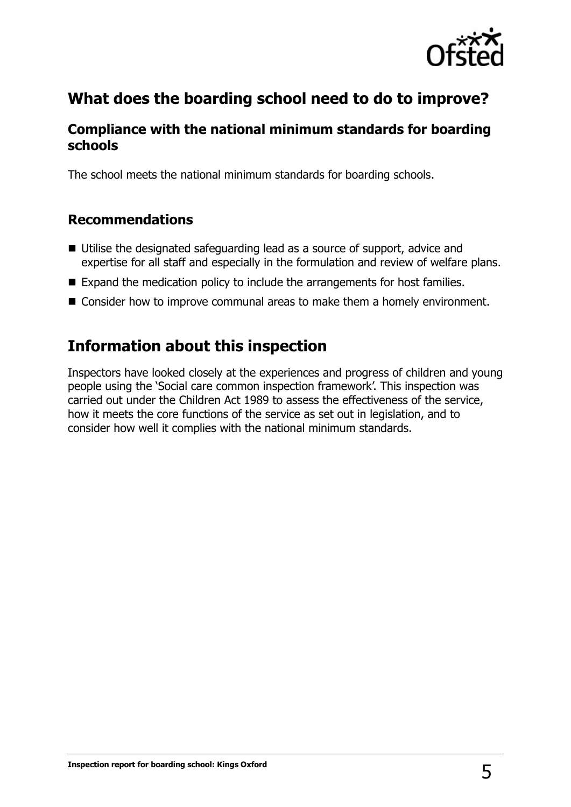

## **What does the boarding school need to do to improve?**

## **Compliance with the national minimum standards for boarding schools**

The school meets the national minimum standards for boarding schools.

### **Recommendations**

- Utilise the designated safeguarding lead as a source of support, advice and expertise for all staff and especially in the formulation and review of welfare plans.
- Expand the medication policy to include the arrangements for host families.
- Consider how to improve communal areas to make them a homely environment.

## **Information about this inspection**

Inspectors have looked closely at the experiences and progress of children and young people using the 'Social care common inspection framework'. This inspection was carried out under the Children Act 1989 to assess the effectiveness of the service, how it meets the core functions of the service as set out in legislation, and to consider how well it complies with the national minimum standards.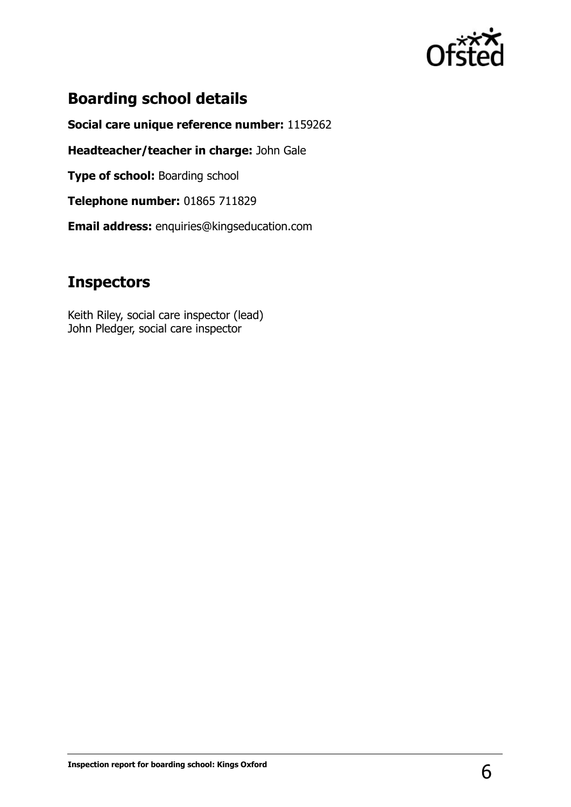

## **Boarding school details**

**Social care unique reference number:** 1159262

**Headteacher/teacher in charge:** John Gale

**Type of school: Boarding school** 

**Telephone number:** 01865 711829

**Email address:** enquiries@kingseducation.com

## **Inspectors**

Keith Riley, social care inspector (lead) John Pledger, social care inspector